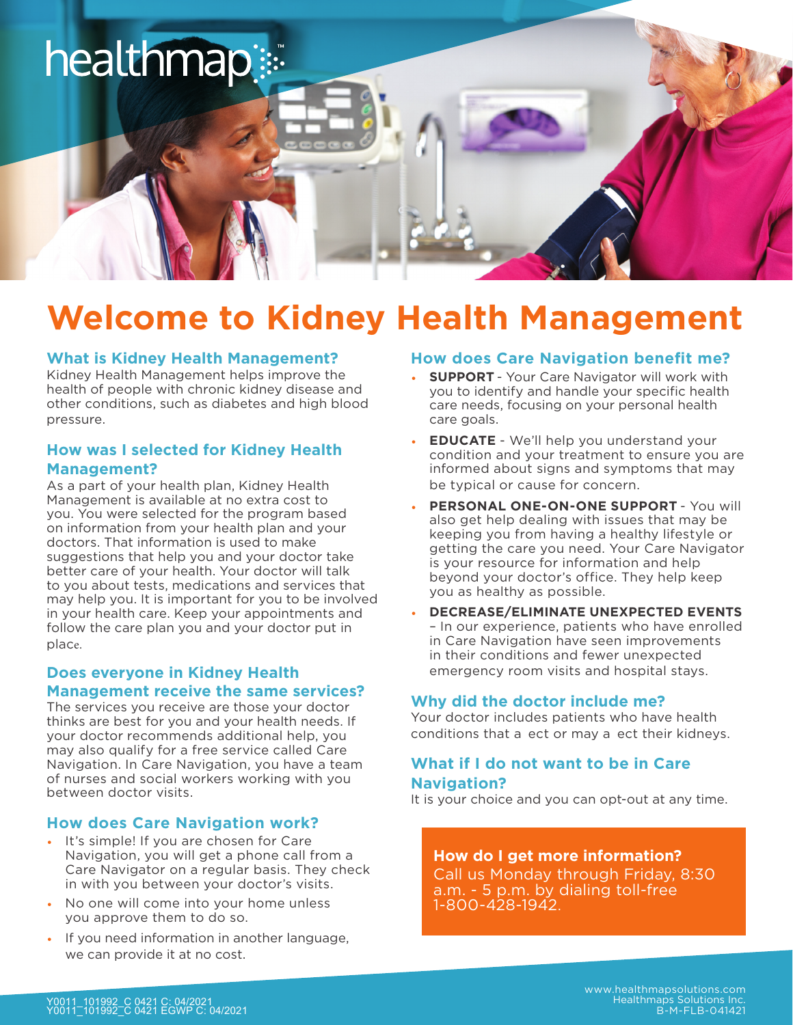# healthmap:::

# **Welcome to Kidney Health Management**

#### **What is Kidney Health Management?**

Kidney Health Management helps improve the health of people with chronic kidney disease and other conditions, such as diabetes and high blood pressure.

#### **How was I selected for Kidney Health Management?**

As a part of your health plan, Kidney Health Management is available at no extra cost to you. You were selected for the program based on information from your health plan and your doctors. That information is used to make suggestions that help you and your doctor take better care of your health. Your doctor will talk to you about tests, medications and services that may help you. It is important for you to be involved in your health care. Keep your appointments and follow the care plan you and your doctor put in place.

#### **Does everyone in Kidney Health Management receive the same services?**

The services you receive are those your doctor thinks are best for you and your health needs. If your doctor recommends additional help, you may also qualify for a free service called Care Navigation. In Care Navigation, you have a team of nurses and social workers working with you between doctor visits.

#### **How does Care Navigation work?**

- It's simple! If you are chosen for Care Navigation, you will get a phone call from a Care Navigator on a regular basis. They check in with you between your doctor's visits.
- No one will come into your home unless you approve them to do so.
- If you need information in another language, we can provide it at no cost.

#### **How does Care Navigation benefit me?**

- **SUPPORT** Your Care Navigator will work with you to identify and handle your specific health care needs, focusing on your personal health care goals.
- **EDUCATE** We'll help you understand your condition and your treatment to ensure you are informed about signs and symptoms that may be typical or cause for concern.
- **PERSONAL ONE-ON-ONE SUPPORT** You will also get help dealing with issues that may be keeping you from having a healthy lifestyle or getting the care you need. Your Care Navigator is your resource for information and help beyond your doctor's office. They help keep you as healthy as possible.
- **DECREASE/ELIMINATE UNEXPECTED EVENTS** – In our experience, patients who have enrolled in Care Navigation have seen improvements in their conditions and fewer unexpected emergency room visits and hospital stays.

#### **Why did the doctor include me?**

Your doctor includes patients who have health conditions that a ect or may a ect their kidneys.

#### **What if I do not want to be in Care Navigation?**

It is your choice and you can opt-out at any time.

#### **How do I get more information?**

Call us Monday through Friday, 8:30 a.m. - 5 p.m. by dialing toll-free 1-800-428-1942.